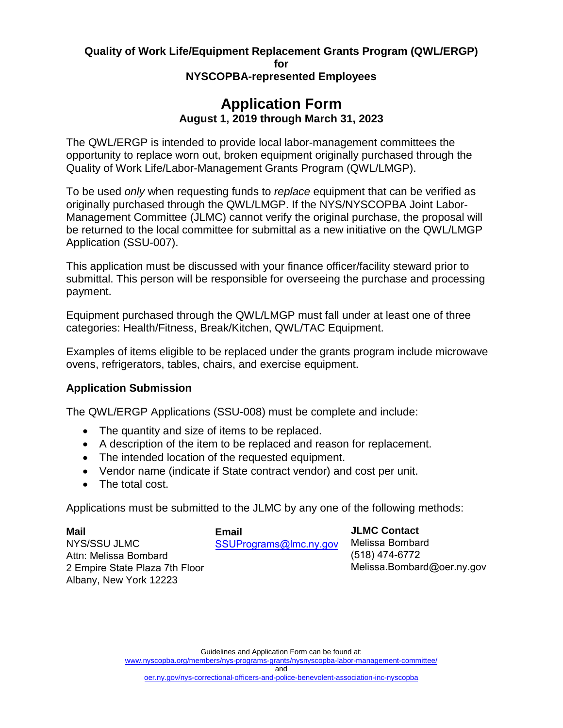# **Quality of Work Life/Equipment Replacement Grants Program (QWL/ERGP)**

**for** 

### **NYSCOPBA-represented Employees**

# **Application Form August 1, 2019 through March 31, 2023**

The QWL/ERGP is intended to provide local labor-management committees the opportunity to replace worn out, broken equipment originally purchased through the Quality of Work Life/Labor-Management Grants Program (QWL/LMGP).

To be used *only* when requesting funds to *replace* equipment that can be verified as originally purchased through the QWL/LMGP. If the NYS/NYSCOPBA Joint Labor-Management Committee (JLMC) cannot verify the original purchase, the proposal will be returned to the local committee for submittal as a new initiative on the QWL/LMGP Application (SSU-007).

This application must be discussed with your finance officer/facility steward prior to submittal. This person will be responsible for overseeing the purchase and processing payment.

Equipment purchased through the QWL/LMGP must fall under at least one of three categories: Health/Fitness, Break/Kitchen, QWL/TAC Equipment.

Examples of items eligible to be replaced under the grants program include microwave ovens, refrigerators, tables, chairs, and exercise equipment.

## **Application Submission**

The QWL/ERGP Applications (SSU-008) must be complete and include:

- The quantity and size of items to be replaced.
- A description of the item to be replaced and reason for replacement.
- The intended location of the requested equipment.
- Vendor name (indicate if State contract vendor) and cost per unit.
- The total cost.

Applications must be submitted to the JLMC by any one of the following methods:

| Mail                           | Email                  | <b>JLMC Contact</b>        |
|--------------------------------|------------------------|----------------------------|
| NYS/SSU JLMC                   | SSUPrograms@lmc.ny.gov | Melissa Bombard            |
| Attn: Melissa Bombard          |                        | (518) 474-6772             |
| 2 Empire State Plaza 7th Floor |                        | Melissa.Bombard@oer.ny.gov |
| Albany, New York 12223         |                        |                            |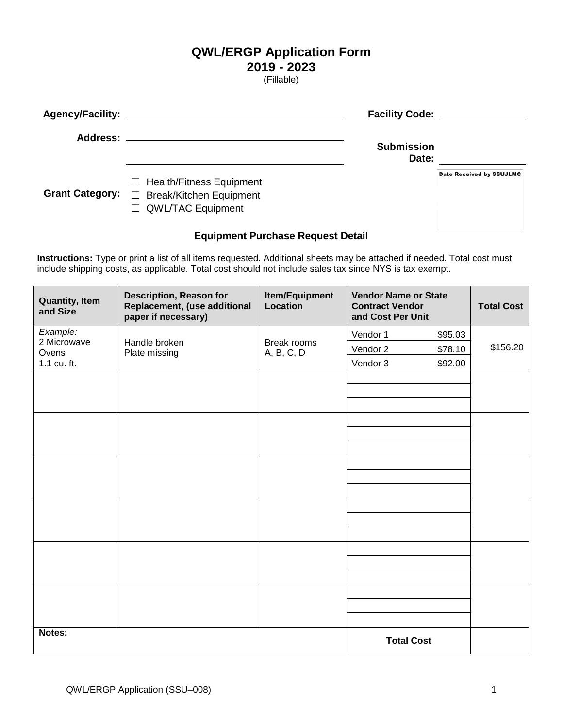## **QWL/ERGP Application Form**

 **2019 - 2023** 

(Fillable)

| <b>Agency/Facility:</b> |                                                                                                          | <b>Facility Code:</b> |                          |
|-------------------------|----------------------------------------------------------------------------------------------------------|-----------------------|--------------------------|
| <b>Address:</b>         |                                                                                                          | <b>Submission</b>     |                          |
|                         |                                                                                                          | Date:                 |                          |
| <b>Grant Category:</b>  | <b>Health/Fitness Equipment</b><br>$\perp$<br>$\Box$ Break/Kitchen Equipment<br>$\Box$ QWL/TAC Equipment |                       | Date Received by SSUJLMC |

### **Equipment Purchase Request Detail**

**Instructions:** Type or print a list of all items requested. Additional sheets may be attached if needed. Total cost must include shipping costs, as applicable. Total cost should not include sales tax since NYS is tax exempt.

| <b>Quantity, Item</b><br>and Size | <b>Description, Reason for</b><br>Replacement, (use additional<br>paper if necessary) | <b>Item/Equipment</b><br><b>Location</b> | <b>Vendor Name or State</b><br><b>Contract Vendor</b><br>and Cost Per Unit |         | <b>Total Cost</b> |
|-----------------------------------|---------------------------------------------------------------------------------------|------------------------------------------|----------------------------------------------------------------------------|---------|-------------------|
| Example:<br>2 Microwave           | Handle broken                                                                         | Break rooms                              | Vendor 1                                                                   | \$95.03 |                   |
| Ovens                             | Plate missing                                                                         | A, B, C, D                               | Vendor 2<br>\$78.10                                                        |         | \$156.20          |
| 1.1 cu. ft.                       |                                                                                       |                                          | Vendor 3<br>\$92.00                                                        |         |                   |
|                                   |                                                                                       |                                          |                                                                            |         |                   |
|                                   |                                                                                       |                                          |                                                                            |         |                   |
|                                   |                                                                                       |                                          |                                                                            |         |                   |
|                                   |                                                                                       |                                          |                                                                            |         |                   |
|                                   |                                                                                       |                                          |                                                                            |         |                   |
|                                   |                                                                                       |                                          |                                                                            |         |                   |
|                                   |                                                                                       |                                          |                                                                            |         |                   |
|                                   |                                                                                       |                                          |                                                                            |         |                   |
|                                   |                                                                                       |                                          |                                                                            |         |                   |
|                                   |                                                                                       |                                          |                                                                            |         |                   |
|                                   |                                                                                       |                                          |                                                                            |         |                   |
|                                   |                                                                                       |                                          |                                                                            |         |                   |
|                                   |                                                                                       |                                          |                                                                            |         |                   |
|                                   |                                                                                       |                                          |                                                                            |         |                   |
|                                   |                                                                                       |                                          |                                                                            |         |                   |
| Notes:                            |                                                                                       |                                          | <b>Total Cost</b>                                                          |         |                   |